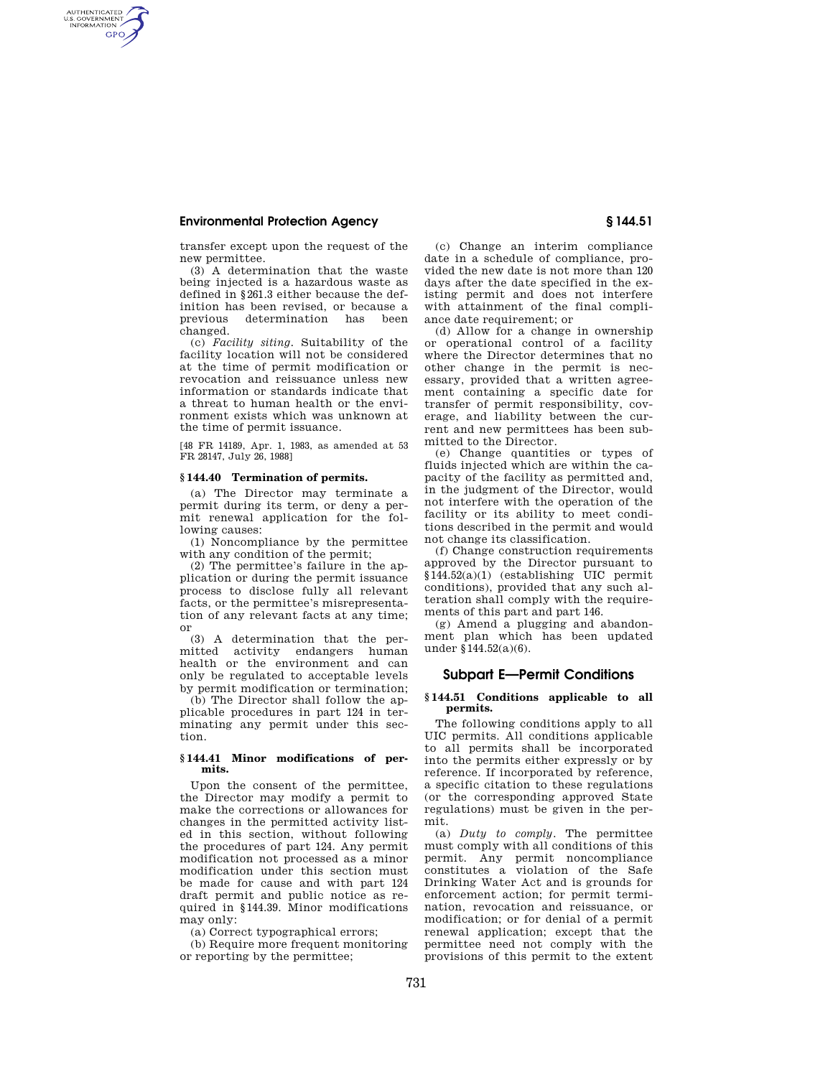# **Environmental Protection Agency § 144.51**

AUTHENTICATED<br>U.S. GOVERNMENT<br>INFORMATION **GPO** 

> transfer except upon the request of the new permittee.

(3) A determination that the waste being injected is a hazardous waste as defined in §261.3 either because the definition has been revised, or because a previous determination has been changed.

(c) *Facility siting.* Suitability of the facility location will not be considered at the time of permit modification or revocation and reissuance unless new information or standards indicate that a threat to human health or the environment exists which was unknown at the time of permit issuance.

[48 FR 14189, Apr. 1, 1983, as amended at 53 FR 28147, July 26, 1988]

### **§ 144.40 Termination of permits.**

(a) The Director may terminate a permit during its term, or deny a permit renewal application for the following causes:

(1) Noncompliance by the permittee with any condition of the permit;

(2) The permittee's failure in the application or during the permit issuance process to disclose fully all relevant facts, or the permittee's misrepresentation of any relevant facts at any time; or

(3) A determination that the permitted activity endangers human health or the environment and can only be regulated to acceptable levels by permit modification or termination;

(b) The Director shall follow the applicable procedures in part 124 in terminating any permit under this section.

## **§ 144.41 Minor modifications of permits.**

Upon the consent of the permittee, the Director may modify a permit to make the corrections or allowances for changes in the permitted activity listed in this section, without following the procedures of part 124. Any permit modification not processed as a minor modification under this section must be made for cause and with part 124 draft permit and public notice as required in §144.39. Minor modifications may only:

(a) Correct typographical errors;

(b) Require more frequent monitoring or reporting by the permittee;

(c) Change an interim compliance date in a schedule of compliance, provided the new date is not more than 120 days after the date specified in the existing permit and does not interfere with attainment of the final compliance date requirement; or

(d) Allow for a change in ownership or operational control of a facility where the Director determines that no other change in the permit is necessary, provided that a written agreement containing a specific date for transfer of permit responsibility, coverage, and liability between the current and new permittees has been submitted to the Director.

(e) Change quantities or types of fluids injected which are within the capacity of the facility as permitted and, in the judgment of the Director, would not interfere with the operation of the facility or its ability to meet conditions described in the permit and would not change its classification.

(f) Change construction requirements approved by the Director pursuant to §144.52(a)(1) (establishing UIC permit conditions), provided that any such alteration shall comply with the requirements of this part and part 146.

(g) Amend a plugging and abandonment plan which has been updated under §144.52(a)(6).

## **Subpart E—Permit Conditions**

### **§ 144.51 Conditions applicable to all permits.**

The following conditions apply to all UIC permits. All conditions applicable to all permits shall be incorporated into the permits either expressly or by reference. If incorporated by reference, a specific citation to these regulations (or the corresponding approved State regulations) must be given in the permit.

(a) *Duty to comply.* The permittee must comply with all conditions of this permit. Any permit noncompliance constitutes a violation of the Safe Drinking Water Act and is grounds for enforcement action; for permit termination, revocation and reissuance, or modification; or for denial of a permit renewal application; except that the permittee need not comply with the provisions of this permit to the extent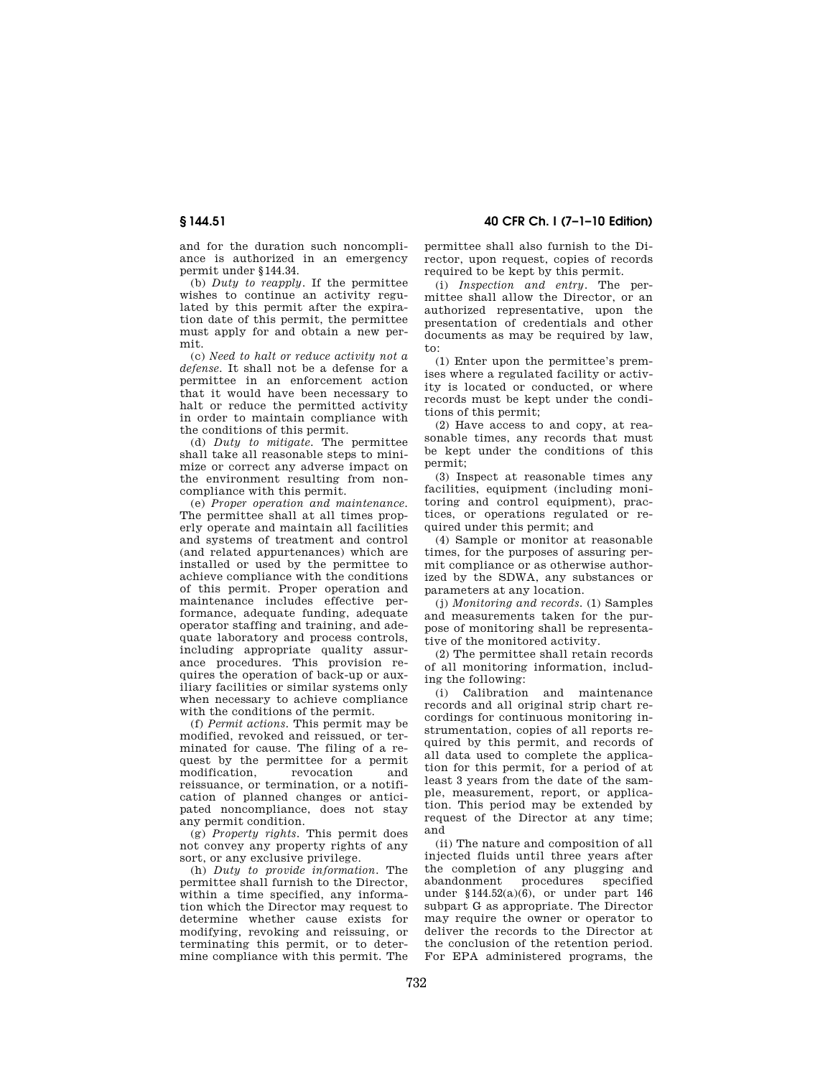and for the duration such noncompliance is authorized in an emergency permit under §144.34.

(b) *Duty to reapply.* If the permittee wishes to continue an activity regulated by this permit after the expiration date of this permit, the permittee must apply for and obtain a new permit.

(c) *Need to halt or reduce activity not a defense.* It shall not be a defense for a permittee in an enforcement action that it would have been necessary to halt or reduce the permitted activity in order to maintain compliance with the conditions of this permit.

(d) *Duty to mitigate.* The permittee shall take all reasonable steps to minimize or correct any adverse impact on the environment resulting from noncompliance with this permit.

(e) *Proper operation and maintenance.*  The permittee shall at all times properly operate and maintain all facilities and systems of treatment and control (and related appurtenances) which are installed or used by the permittee to achieve compliance with the conditions of this permit. Proper operation and maintenance includes effective performance, adequate funding, adequate operator staffing and training, and adequate laboratory and process controls, including appropriate quality assurance procedures. This provision requires the operation of back-up or auxiliary facilities or similar systems only when necessary to achieve compliance with the conditions of the permit.

(f) *Permit actions.* This permit may be modified, revoked and reissued, or terminated for cause. The filing of a request by the permittee for a permit<br>modification, revocation and modification, reissuance, or termination, or a notification of planned changes or anticipated noncompliance, does not stay any permit condition.

(g) *Property rights.* This permit does not convey any property rights of any sort, or any exclusive privilege.

(h) *Duty to provide information.* The permittee shall furnish to the Director, within a time specified, any information which the Director may request to determine whether cause exists for modifying, revoking and reissuing, or terminating this permit, or to determine compliance with this permit. The

**§ 144.51 40 CFR Ch. I (7–1–10 Edition)** 

permittee shall also furnish to the Director, upon request, copies of records required to be kept by this permit.

(i) *Inspection and entry.* The permittee shall allow the Director, or an authorized representative, upon the presentation of credentials and other documents as may be required by law, to:

(1) Enter upon the permittee's premises where a regulated facility or activity is located or conducted, or where records must be kept under the conditions of this permit;

(2) Have access to and copy, at reasonable times, any records that must be kept under the conditions of this permit;

(3) Inspect at reasonable times any facilities, equipment (including monitoring and control equipment), practices, or operations regulated or required under this permit; and

(4) Sample or monitor at reasonable times, for the purposes of assuring permit compliance or as otherwise authorized by the SDWA, any substances or parameters at any location.

(j) *Monitoring and records.* (1) Samples and measurements taken for the purpose of monitoring shall be representative of the monitored activity.

(2) The permittee shall retain records of all monitoring information, including the following:

(i) Calibration and maintenance records and all original strip chart recordings for continuous monitoring instrumentation, copies of all reports required by this permit, and records of all data used to complete the application for this permit, for a period of at least 3 years from the date of the sample, measurement, report, or application. This period may be extended by request of the Director at any time; and

(ii) The nature and composition of all injected fluids until three years after the completion of any plugging and abandonment procedures specified under §144.52(a)(6), or under part 146 subpart G as appropriate. The Director may require the owner or operator to deliver the records to the Director at the conclusion of the retention period. For EPA administered programs, the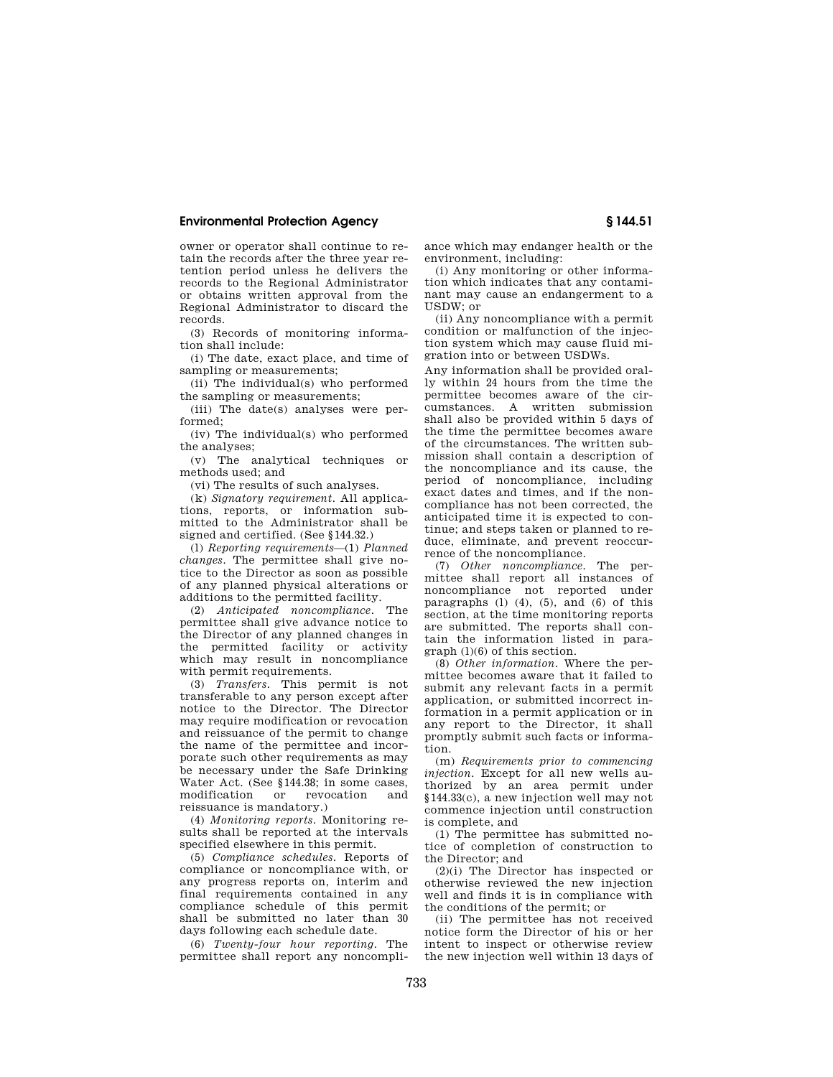# **Environmental Protection Agency § 144.51**

owner or operator shall continue to retain the records after the three year retention period unless he delivers the records to the Regional Administrator or obtains written approval from the Regional Administrator to discard the records.

(3) Records of monitoring information shall include:

(i) The date, exact place, and time of sampling or measurements;

(ii) The individual(s) who performed the sampling or measurements;

(iii) The date(s) analyses were performed;

(iv) The individual(s) who performed the analyses;

(v) The analytical techniques or methods used; and

(vi) The results of such analyses.

(k) *Signatory requirement.* All applications, reports, or information submitted to the Administrator shall be signed and certified. (See §144.32.)

(l) *Reporting requirements*—(1) *Planned changes.* The permittee shall give notice to the Director as soon as possible of any planned physical alterations or additions to the permitted facility.

(2) *Anticipated noncompliance.* The permittee shall give advance notice to the Director of any planned changes in the permitted facility or activity which may result in noncompliance with permit requirements.

(3) *Transfers.* This permit is not transferable to any person except after notice to the Director. The Director may require modification or revocation and reissuance of the permit to change the name of the permittee and incorporate such other requirements as may be necessary under the Safe Drinking Water Act. (See §144.38; in some cases, modification or revocation and reissuance is mandatory.)

(4) *Monitoring reports.* Monitoring results shall be reported at the intervals specified elsewhere in this permit.

(5) *Compliance schedules.* Reports of compliance or noncompliance with, or any progress reports on, interim and final requirements contained in any compliance schedule of this permit shall be submitted no later than 30 days following each schedule date.

(6) *Twenty-four hour reporting.* The permittee shall report any noncompliance which may endanger health or the environment, including:

(i) Any monitoring or other information which indicates that any contaminant may cause an endangerment to a USDW; or

(ii) Any noncompliance with a permit condition or malfunction of the injection system which may cause fluid migration into or between USDWs.

Any information shall be provided orally within 24 hours from the time the permittee becomes aware of the circumstances. A written submission shall also be provided within 5 days of the time the permittee becomes aware of the circumstances. The written submission shall contain a description of the noncompliance and its cause, the period of noncompliance, including exact dates and times, and if the noncompliance has not been corrected, the anticipated time it is expected to continue; and steps taken or planned to reduce, eliminate, and prevent reoccurrence of the noncompliance.

(7) *Other noncompliance.* The permittee shall report all instances of noncompliance not reported under paragraphs  $(l)$   $(4)$ ,  $(5)$ , and  $(6)$  of this section, at the time monitoring reports are submitted. The reports shall contain the information listed in paragraph (l)(6) of this section.

(8) *Other information.* Where the permittee becomes aware that it failed to submit any relevant facts in a permit application, or submitted incorrect information in a permit application or in any report to the Director, it shall promptly submit such facts or information.

(m) *Requirements prior to commencing injection.* Except for all new wells authorized by an area permit under §144.33(c), a new injection well may not commence injection until construction is complete, and

(1) The permittee has submitted notice of completion of construction to the Director; and

(2)(i) The Director has inspected or otherwise reviewed the new injection well and finds it is in compliance with the conditions of the permit; or

(ii) The permittee has not received notice form the Director of his or her intent to inspect or otherwise review the new injection well within 13 days of